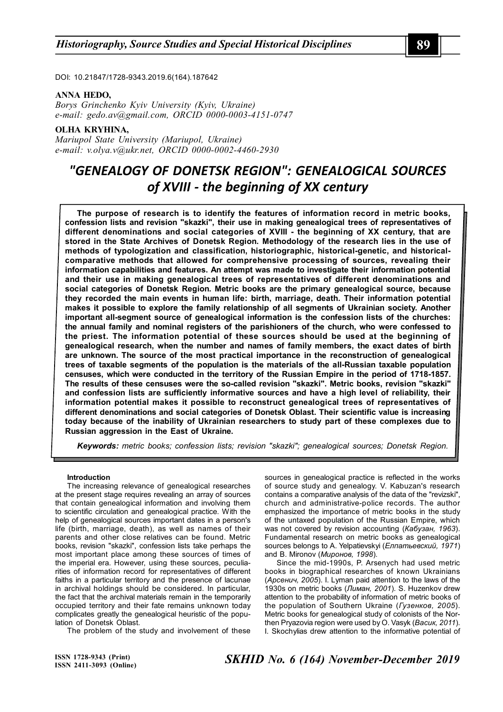DOI: 10.21847/1728-9343.2019.6(164).187642

### **ANNA HEDO,**

*Borys Grinchenko Kyiv University (Kyiv, Ukraine) e-mail: gedo.av@gmail.com, ORCID 0000-0003-4151-0747*

## **OLHA KRYHINA,**

*Mariupol State University (Mariupol, Ukraine) e-mail: v.olya.v@ukr.net, ORCID 0000-0002-4460-2930*

# *"GENEALOGY OF DONETSK REGION": GENEALOGICAL SOURCES of XVIII - the beginning of ХХ century*

**The purpose of research is to identify the features of information record in metric books, confession lists and revision "skazki", their use in making genealogical trees of representatives of different denominations and social categories of XVIII - the beginning of ХХ century, that are stored in the State Archives of Donetsk Region. Methodology of the research lies in the use of methods of typologization and classification, historiographic, historical-genetic, and historicalcomparative methods that allowed for comprehensive processing of sources, revealing their information capabilities and features. An attempt was made to investigate their information potential and their use in making genealogical trees of representatives of different denominations and social categories of Donetsk Region. Metric books are the primary genealogical source, because they recorded the main events in human life: birth, marriage, death. Their information potential makes it possible to explore the family relationship of all segments of Ukrainian society. Another important all-segment source of genealogical information is the confession lists of the churches: the annual family and nominal registers of the parishioners of the church, who were confessed to the priest. The information potential of these sources should be used at the beginning of genealogical research, when the number and names of family members, the exact dates of birth are unknown. The source of the most practical importance in the reconstruction of genealogical trees of taxable segments of the population is the materials of the all-Russian taxable population censuses, which were conducted in the territory of the Russian Empire in the period of 1718-1857. The results of these censuses were the so-called revision "skazki". Metric books, revision "skazki" and confession lists are sufficiently informative sources and have a high level of reliability, their information potential makes it possible to reconstruct genealogical trees of representatives of different denominations and social categories of Donetsk Oblast. Their scientific value is increasing today because of the inability of Ukrainian researchers to study part of these complexes due to Russian aggression in the East of Ukraine.**

*Keywords: metric books; confession lists; revision "skazki"; genealogical sources; Donetsk Region.*

## **Introduction**

The increasing relevance of genealogical researches at the present stage requires revealing an array of sources that contain genealogical information and involving them to scientific circulation and genealogical practice. With the help of genealogical sources important dates in a person's life (birth, marriage, death), as well as names of their parents and other close relatives can be found. Metric books, revision "skazki", confession lists take perhaps the most important place among these sources of times of the imperial era. However, using these sources, peculiarities of information record for representatives of different faiths in a particular territory and the presence of lacunae in archival holdings should be considered. In particular, the fact that the archival materials remain in the temporarily occupied territory and their fate remains unknown today complicates greatly the genealogical heuristic of the population of Donetsk Oblast.

The problem of the study and involvement of these

sources in genealogical practice is reflected in the works of source study and genealogy. V. Kabuzan's research contains a comparative analysis of the data of the "revizski", church and administrative-police records. The author emphasized the importance of metric books in the study of the untaxed population of the Russian Empire, which was not covered by revision accounting (*Кабузан, 1963*). Fundamental research on metric books as genealogical sources belongs to A. Yelpatievskyi (*Елпатьевский, 1971*) and B. Mironov (*Миронов, 1998*).

Since the mid-1990s, P. Arsenych had used metric books in biographical researches of known Ukrainians (*Арсенич, 2005*). I. Lyman paid attention to the laws of the 1930s on metric books (*Лиман, 2001*). S. Huzenkov drew attention to the probability of information of metric books of the population of Southern Ukraine (*Гузенков, 2005*). Metric books for genealogical study of colonists of the Northen Pryazovia region were used by O. Vasyk (*Васик, 2011*). I. Skochylias drew attention to the informative potential of

**ISSN 1728-9343 (Print) ISSN 2411-3093 (Online)**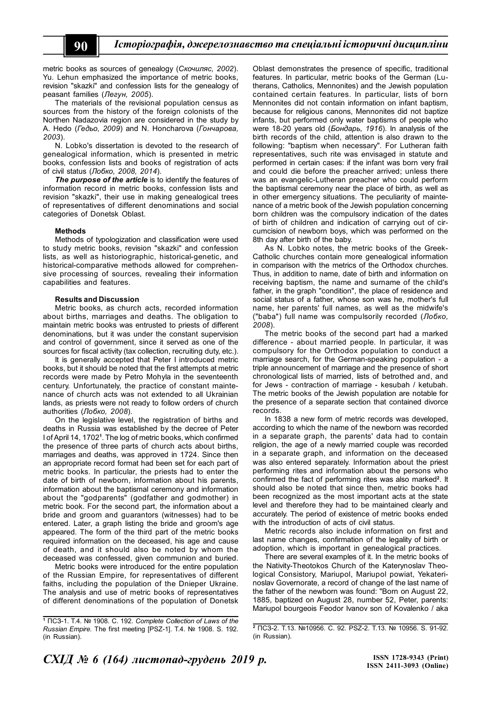metric books as sources of genealogy (*Скочиляс, 2002*). Yu. Lehun emphasized the importance of metric books, revision "skazki" and confession lists for the genealogy of peasant families (*Легун, 2005*).

The materials of the revisional population census as sources from the history of the foreign colonists of the Northen Nadazovia region are considered in the study by A. Hedo (*Гедьо, 2009*) and N. Honcharova (*Гончарова, 2003*).

N. Lobko's dissertation is devoted to the research of genealogical information, which is presented in metric books, confession lists and books of registration of acts of civil status (*Лобко, 2008, 2014*).

*The purpose of the article* is to identify the features of information record in metric books, confession lists and revision "skazki", their use in making genealogical trees of representatives of different denominations and social categories of Donetsk Oblast.

#### **Methods**

Methods of typologization and classification were used to study metric books, revision "skazki" and confession lists, as well as historiographic, historical-genetic, and historical-comparative methods allowed for comprehensive processing of sources, revealing their information capabilities and features.

#### **Results and Discussion**

Metric books, as church acts, recorded information about births, marriages and deaths. The obligation to maintain metric books was entrusted to priests of different denominations, but it was under the constant supervision and control of government, since it served as one of the sources for fiscal activity (tax collection, recruiting duty, etc.).

It is generally accepted that Peter I introduced metric books, but it should be noted that the first attempts at metric records were made by Petro Mohyla in the seventeenth century. Unfortunately, the practice of constant maintenance of church acts was not extended to all Ukrainian lands, as priests were not ready to follow orders of church authorities (*Лобко, 2008*).

On the legislative level, the registration of births and deaths in Russia was established by the decree of Peter I of April 14, 1702**<sup>1</sup>** . The log of metric books, which confirmed the presence of three parts of church acts about births, marriages and deaths, was approved in 1724. Since then an appropriate record format had been set for each part of metric books. In particular, the priests had to enter the date of birth of newborn, information about his parents, information about the baptismal ceremony and information about the "godparents" (godfather and godmother) in metric book. For the second part, the information about a bride and groom and guarantors (witnesses) had to be entered. Later, a graph listing the bride and groom's age appeared. The form of the third part of the metric books required information on the deceased, his age and cause of death, and it should also be noted by whom the deceased was confessed, given communion and buried.

Metric books were introduced for the entire population of the Russian Empire, for representatives of different faiths, including the population of the Dnieper Ukraine. The analysis and use of metric books of representatives of different denominations of the population of Donetsk

Oblast demonstrates the presence of specific, traditional features. In particular, metric books of the German (Lutherans, Catholics, Mennonites) and the Jewish population contained certain features. In particular, lists of born Mennonites did not contain information on infant baptism, because for religious canons, Mennonites did not baptize infants, but performed only water baptisms of people who were 18-20 years old (*Бондарь, 1916*). In analysis of the birth records of the child, attention is also drawn to the following: "baptism when necessary". For Lutheran faith representatives, such rite was envisaged in statute and performed in certain cases: if the infant was born very frail and could die before the preacher arrived; unless there was an evangelic-Lutheran preacher who could perform the baptismal ceremony near the place of birth, as well as in other emergency situations. The peculiarity of maintenance of a metric book of the Jewish population concerning born children was the compulsory indication of the dates of birth of children and indication of carrying out of circumcision of newborn boys, which was performed on the 8th day after birth of the baby.

As N. Lobko notes, the metric books of the Greek-Catholic churches contain more genealogical information in comparison with the metrics of the Orthodox churches. Thus, in addition to name, date of birth and information on receiving baptism, the name and surname of the child's father, in the graph "condition", the place of residence and social status of a father, whose son was he, mother's full name, her parents' full names, as well as the midwife's ("baba") full name was compulsorily recorded (*Лобко, 2008*).

The metric books of the second part had a marked difference - about married people. In particular, it was compulsory for the Orthodox population to conduct a marriage search, for the German-speaking population - a triple announcement of marriage and the presence of short chronological lists of married, lists of betrothed and, and for Jews - contraction of marriage - kesubah / ketubah. The metric books of the Jewish population are notable for the presence of a separate section that contained divorce records.

In 1838 a new form of metric records was developed, according to which the name of the newborn was recorded in a separate graph, the parents' data had to contain religion, the age of a newly married couple was recorded in a separate graph, and information on the deceased was also entered separately. Information about the priest performing rites and information about the persons who confirmed the fact of performing rites was also marked**<sup>2</sup>** . It should also be noted that since then, metric books had been recognized as the most important acts at the state level and therefore they had to be maintained clearly and accurately. The period of existence of metric books ended with the introduction of acts of civil status.

Metric records also include information on first and last name changes, confirmation of the legality of birth or adoption, which is important in genealogical practices.

There are several examples of it. In the metric books of the Nativity-Theotokos Church of the Katerynoslav Theological Consistory, Mariupol, Mariupol powiat, Yekaterinoslav Governorate, a record of change of the last name of the father of the newborn was found: "Born on August 22, 1885, baptized on August 28, number 52, Peter, parents: Mariupol bourgeois Feodor Ivanov son of Kovalenko / aka

**<sup>1</sup>** ПСЗ-1. Т.4. № 1908. С. 192. *Complete Collection of Laws of the Russian Empire.* The first meeting [PSZ-1]. T.4. № 1908. S. 192. (in Russian).

**<sup>2</sup>** ПСЗ-2. Т.13. №10956. С. 92. PSZ-2. Т.13. № 10956. S. 91-92. (in Russian).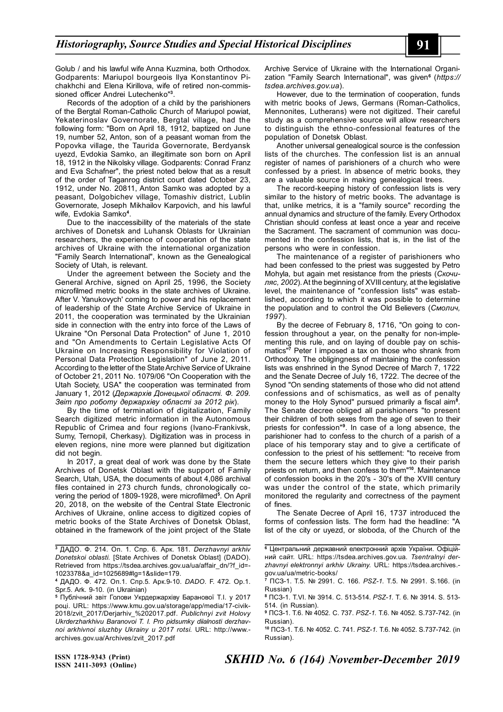Golub / and his lawful wife Anna Kuzmina, both Orthodox. Godparents: Mariupol bourgeois Ilya Konstantinov Pichakhchi and Elena Kirillova, wife of retired non-commissioned officer Andrei Lutechenko"**<sup>3</sup>** .

Records of the adoption of a child by the parishioners of the Bergtal Roman-Catholic Church of Mariupol powiat, Yekaterinoslav Governorate, Bergtal village, had the following form: "Born on April 18, 1912, baptized on June 19, number 52, Anton, son of a peasant woman from the Popovka village, the Taurida Governorate, Berdyansk uyezd, Evdokia Samko, an illegitimate son born on April 18, 1912 in the Nikolsky village. Godparents: Conrad Franz and Eva Schafner", the priest noted below that as a result of the order of Taganrog district court dated October 23, 1912, under No. 20811, Anton Samko was adopted by a peasant, Dolgobichev village, Tomashiv district, Lublin Governorate, Joseph Mikhailov Karpovich, and his lawful wife, Evdokia Samko**<sup>4</sup>** .

Due to the inaccessibility of the materials of the state archives of Donetsk and Luhansk Oblasts for Ukrainian researchers, the experience of cooperation of the state archives of Ukraine with the international organization "Family Search International", known as the Genealogical Society of Utah, is relevant.

Under the agreement between the Society and the General Archive, signed on April 25, 1996, the Society microfilmed metric books in the state archives of Ukraine. After V. Yanukovych' coming to power and his replacement of leadership of the State Archive Service of Ukraine in 2011, the cooperation was terminated by the Ukrainian side in connection with the entry into force of the Laws of Ukraine "On Personal Data Protection" of June 1, 2010 and "On Amendments to Certain Legislative Acts Of Ukraine on Increasing Responsibility for Violation of Personal Data Protection Legislation" of June 2, 2011. According to the letter of the State Archive Service of Ukraine of October 21, 2011 No. 1079/06 "On Cooperation with the Utah Society, USA" the cooperation was terminated from January 1, 2012 (*Держархів Донецької області. Ф. 209. Звіт про роботу держархіву області за 2012 рік*).

By the time of termination of digitalization, Family Search digitized metric information in the Autonomous Republic of Crimea and four regions (Ivano-Frankivsk, Sumy, Ternopil, Cherkasy). Digitization was in process in eleven regions, nine more were planned but digitization did not begin.

In 2017, a great deal of work was done by the State Archives of Donetsk Oblast with the support of Family Search, Utah, USA, the documents of about 4,086 archival files contained in 273 church funds, chronologically covering the period of 1809-1928, were microfilmed**<sup>5</sup>** . On April 20, 2018, on the website of the Central State Electronic Archives of Ukraine, online access to digitized copies of metric books of the State Archives of Donetsk Oblast, obtained in the framework of the joint project of the State Archive Service of Ukraine with the International Organization "Family Search International", was given**<sup>6</sup>** (*https:// tsdea.archives.gov.ua*).

However, due to the termination of cooperation, funds with metric books of Jews, Germans (Roman-Catholics, Mennonites, Lutherans) were not digitized. Their careful study as a comprehensive source will allow researchers to distinguish the ethno-confessional features of the population of Donetsk Oblast.

Another universal genealogical source is the confession lists of the churches. The confession list is an annual register of names of parishioners of a church who were confessed by a priest. In absence of metric books, they are a valuable source in making genealogical trees.

The record-keeping history of confession lists is very similar to the history of metric books. The advantage is that, unlike metrics, it is a "family source" recording the annual dynamics and structure of the family. Every Orthodox Christian should confess at least once a year and receive the Sacrament. The sacrament of communion was documented in the confession lists, that is, in the list of the persons who were in confession.

The maintenance of a register of parishioners who had been confessed to the priest was suggested by Petro Mohyla, but again met resistance from the priests (*Скочиляс, 2002*). At the beginning of XVIII century, at the legislative level, the maintenance of "confession lists" was established, according to which it was possible to determine the population and to control the Old Believers (*Смолич, 1997*).

By the decree of February 8, 1716, "On going to confession throughout a year, on the penalty for non-implementing this rule, and on laying of double pay on schismatics"**<sup>7</sup>** Peter I imposed a tax on those who shrank from Orthodoxy. The obligingness of maintaining the confession lists was enshrined in the Synod Decree of March 7, 1722 and the Senate Decree of July 16, 1722. The decree of the Synod "On sending statements of those who did not attend confessions and of schismatics, as well as of penalty money to the Holy Synod" pursued primarily a fiscal aim**<sup>8</sup>** . The Senate decree obliged all parishioners "to present their children of both sexes from the age of seven to their priests for confession"**<sup>9</sup>** . In case of a long absence, the parishioner had to confess to the church of a parish of a place of his temporary stay and to give a certificate of confession to the priest of his settlement: "to receive from them the secure letters which they give to their parish priests on return, and then confess to them"**<sup>10</sup>**. Maintenance of confession books in the 20's - 30's of the XVIII century was under the control of the state, which primarily monitored the regularity and correctness of the payment of fines.

The Senate Decree of April 16, 1737 introduced the forms of confession lists. The form had the headline: "A list of the city or uyezd, or sloboda, of the Church of the

**<sup>3</sup>** ДАДО. Ф. 214. Оп. 1. Спр. 6. Арк. 181. *Derzhavnyi arkhiv Donetskoi oblasti.* [State Archives of Donetsk Oblast] (DADO). Retrieved from https://tsdea.archives.gov.ua/ua/affair\_dn/?f\_id=- 1023378&a\_id=1025689#lg=1&slide=179.

**<sup>4</sup>** ДАДО. Ф. 472. Оп.1. Спр.5. Арк.9-10. *DADO.* F. 472. Op.1. Spr.5. Ark. 9-10. (in Ukrainian)

**<sup>5</sup>** Публічний звіт Голови Укрдержархіву Баранової Т.І. у 2017 році. URL: https://www.kmu.gov.ua/storage/app/media/17-civik-2018/zvit\_2017/Derjarhiv\_%202017.pdf. *Publichnyi zvit Holovy Ukrderzharkhivu Baranovoi T. I. Pro pidsumky diialnosti derzhavnoi arkhivnoi sluzhby Ukrainy u 2017 rotsi.* URL: http://www. archives.gov.ua/Archives/zvit\_2017.pdf

**<sup>6</sup>** Центральний державний електронний архів України. Офіційний сайт. URL: https://tsdea.archives.gov.ua. *Tsentralnyi derzhavnyi elektronnyi arkhiv Ukrainy.* URL: https://tsdea.archives. gov.ua/ua/metric-books/

**<sup>7</sup>** ПСЗ-1. Т.5. № 2991. С. 166. *PSZ-1.* Т.5. № 2991. S.166. (in Russian)

**<sup>8</sup>** ПСЗ-1. Т.VI. № 3914. С. 513-514. *PSZ-1.* Т. 6. № 3914. S. 513- 514. (in Russian).

**<sup>9</sup>** ПСЗ-1. Т.6. № 4052. С. 737. *PSZ-1.* Т.6. № 4052. S.737-742. (in Russian).

**<sup>10</sup>** ПСЗ-1. Т.6. № 4052. С. 741. *PSZ-1.* Т.6. № 4052. S.737-742. (in Russian).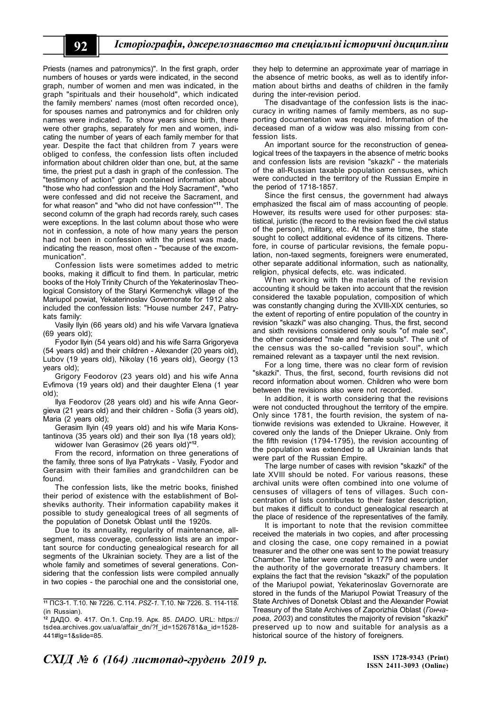Priests (names and patronymics)". In the first graph, order numbers of houses or yards were indicated, in the second graph, number of women and men was indicated, in the graph "spirituals and their household", which indicated the family members' names (most often recorded once), for spouses names and patronymics and for children only names were indicated. To show years since birth, there were other graphs, separately for men and women, indicating the number of years of each family member for that year. Despite the fact that children from 7 years were obliged to confess, the confession lists often included information about children older than one, but, at the same time, the priest put a dash in graph of the confession. The "testimony of action" graph contained information about "those who had confession and the Holy Sacrament", "who were confessed and did not receive the Sacrament, and for what reason" and "who did not have confession"**<sup>11</sup>**. The second column of the graph had records rarely, such cases were exceptions. In the last column about those who were not in confession, a note of how many years the person had not been in confession with the priest was made, indicating the reason, most often - "because of the excommunication".

Confession lists were sometimes added to metric books, making it difficult to find them. In particular, metric books of the Holy Trinity Church of the Yekaterinoslav Theological Consistory of the Staryi Kermenchyk village of the Mariupol powiat, Yekaterinoslav Governorate for 1912 also included the confession lists: "House number 247, Patrykats family:

Vasily Ilyin (66 years old) and his wife Varvara Ignatieva (69 years old);

Fyodor Ilyin (54 years old) and his wife Sarra Grigoryeva (54 years old) and their children - Alexander (20 years old), Lubov (19 years old), Nikolay (16 years old), Georgy (13 years old);

Grigory Feodorov (23 years old) and his wife Anna Evfimova (19 years old) and their daughter Elena (1 year old);

Ilya Feodorov (28 years old) and his wife Anna Georgieva (21 years old) and their children - Sofia (3 years old), Maria (2 years old);

Gerasim Ilyin (49 years old) and his wife Maria Konstantinova (35 years old) and their son Ilya (18 years old);

widower Ivan Gerasimov (26 years old)"**<sup>12</sup>** .

From the record, information on three generations of the family, three sons of Ilya Patrykats - Vasily, Fyodor and Gerasim with their families and grandchildren can be found.

The confession lists, like the metric books, finished their period of existence with the establishment of Bolsheviks authority. Their information capability makes it possible to study genealogical trees of all segments of the population of Donetsk Oblast until the 1920s.

Due to its annuality, regularity of maintenance, allsegment, mass coverage, confession lists are an important source for conducting genealogical research for all segments of the Ukrainian society. They are a list of the whole family and sometimes of several generations. Considering that the confession lists were compiled annually in two copies - the parochial one and the consistorial one,

they help to determine an approximate year of marriage in the absence of metric books, as well as to identify information about births and deaths of children in the family during the inter-revision period.

The disadvantage of the confession lists is the inaccuracy in writing names of family members, as no supporting documentation was required. Information of the deceased man of a widow was also missing from confession lists.

An important source for the reconstruction of genealogical trees of the taxpayers in the absence of metric books and confession lists are revision "skazki" - the materials of the all-Russian taxable population censuses, which were conducted in the territory of the Russian Empire in the period of 1718-1857.

Since the first census, the government had always emphasized the fiscal aim of mass accounting of people. However, its results were used for other purposes: statistical, juristic (the record to the revision fixed the civil status of the person), military, etc. At the same time, the state sought to collect additional evidence of its citizens. Therefore, in course of particular revisions, the female population, non-taxed segments, foreigners were enumerated, other separate additional information, such as nationality, religion, physical defects, etc. was indicated.

When working with the materials of the revision accounting it should be taken into account that the revision considered the taxable population, composition of which was constantly changing during the XVIII-XIX centuries, so the extent of reporting of entire population of the country in revision "skazki" was also changing. Thus, the first, second and sixth revisions considered only souls "of male sex", the other considered "male and female souls". The unit of the census was the so-called "revision soul", which remained relevant as a taxpayer until the next revision.

For a long time, there was no clear form of revision "skazki". Thus, the first, second, fourth revisions did not record information about women. Children who were born between the revisions also were not recorded.

In addition, it is worth considering that the revisions were not conducted throughout the territory of the empire. Only since 1781, the fourth revision, the system of nationwide revisions was extended to Ukraine. However, it covered only the lands of the Dnieper Ukraine. Only from the fifth revision (1794-1795), the revision accounting of the population was extended to all Ukrainian lands that were part of the Russian Empire.

The large number of cases with revision "skazki" of the late XVIII should be noted. For various reasons, these archival units were often combined into one volume of censuses of villagers of tens of villages. Such concentration of lists contributes to their faster description, but makes it difficult to conduct genealogical research at the place of residence of the representatives of the family.

It is important to note that the revision committee received the materials in two copies, and after processing and closing the case, one copy remained in a powiat treasurer and the other one was sent to the powiat treasury Chamber. The latter were created in 1779 and were under the authority of the governorate treasury chambers. It explains the fact that the revision "skazki" of the population of the Mariupol powiat, Yekaterinoslav Governorate are stored in the funds of the Mariupol Powiat Treasury of the State Archives of Donetsk Oblast and the Alexander Powiat Treasury of the State Archives of Zaporizhia Oblast (*Гончарова, 2003*) and constitutes the majority of revision "skazki" preserved up to now and suitable for analysis as a historical source of the history of foreigners.

**<sup>11</sup>** ПСЗ-1. Т.10. № 7226. С.114. *PSZ-1.* Т.10. № 7226. S. 114-118. (in Russian).

**<sup>12</sup>** ДАДО. Ф. 417. Оп.1. Спр.19. Арк. 85. *DADO.* URL: https:// tsdea.archives.gov.ua/ua/affair\_dn/?f\_id=1526781&a\_id=1528- 441#lg=1&slide=85.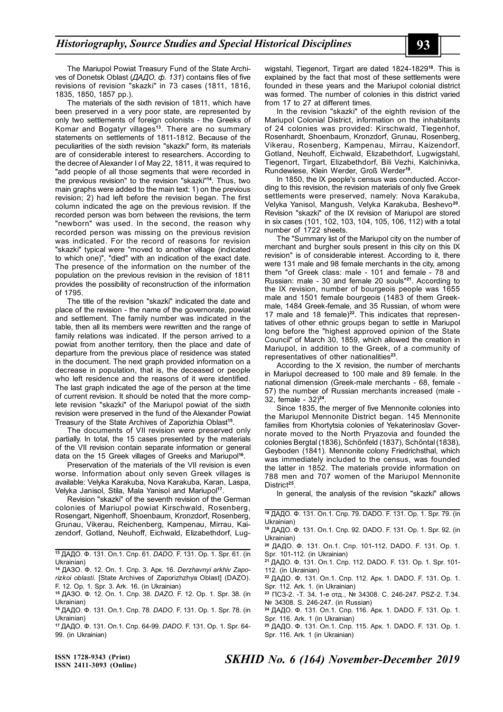The Mariupol Powiat Treasury Fund of the State Archives of Donetsk Oblast (*ДАДО, ф. 131*) contains files of five revisions of revision "skazki" in 73 cases (1811, 1816, 1835, 1850, 1857 рр.).

The materials of the sixth revision of 1811, which have been preserved in a very poor state, are represented by only two settlements of foreign colonists - the Greeks of Komar and Bogatyr villages**<sup>13</sup>**. There are no summary statements on settlements of 1811-1812. Because of the peculiarities of the sixth revision "skazki" form, its materials are of considerable interest to researchers. According to the decree of Alexander I of May 22, 1811, it was required to "add people of all those segments that were recorded in the previous revision" to the revision "skazki"**<sup>14</sup>**. Thus, two main graphs were added to the main text: 1) on the previous revision; 2) had left before the revision began. The first column indicated the age on the previous revision. If the recorded person was born between the revisions, the term "newborn" was used. In the second, the reason why recorded person was missing on the previous revision was indicated. For the record of reasons for revision "skazki" typical were "moved to another village (indicated to which one)", "died" with an indication of the exact date. The presence of the information on the number of the population on the previous revision in the revision of 1811 provides the possibility of reconstruction of the information of 1795.

The title of the revision "skazki" indicated the date and place of the revision - the name of the governorate, powiat and settlement. The family number was indicated in the table, then all its members were rewritten and the range of family relations was indicated. If the person arrived to a powiat from another territory, then the place and date of departure from the previous place of residence was stated in the document. The next graph provided information on a decrease in population, that is, the deceased or people who left residence and the reasons of it were identified. The last graph indicated the age of the person at the time of current revision. It should be noted that the more complete revision "skazki" of the Mariupol powiat of the sixth revision were preserved in the fund of the Alexander Powiat Treasury of the State Archives of Zaporizhia Oblast**<sup>15</sup>** .

The documents of VII revision were preserved only partially. In total, the 15 cases presented by the materials of the VII revision contain separate information or general data on the 15 Greek villages of Greeks and Mariupol**<sup>16</sup>** .

Preservation of the materials of the VII revision is even worse. Information about only seven Greek villages is available: Velyka Karakuba, Nova Karakuba, Karan, Laspa, Velyka Janisol, Stila, Mala Yanisol and Mariupol**<sup>17</sup>** .

Revision "skazki" of the seventh revision of the German colonies of Mariupol powiat Kirschwald, Rosenberg, Rosengart, Nigenhoff, Shoenbaum, Kronzdorf, Rosenberg, Grunau, Vikerau, Reichenberg, Kampenau, Mirrau, Kaizendorf, Gotland, Neuhoff, Eichwald, Elizabethdorf, Lug-

**<sup>13</sup>** ДАДО. Ф. 131. Оп.1. Спр. 61. *DADO.* F. 131. Op. 1. Spr. 61. (in Ukrainian)

**14** ДАЗО. Ф. 12. Оп. 1. Спр. 3. Арк. 16. *Derzhavnyi arkhiv Zaporizkoi oblasti.* [State Archives of Zaporizhzhya Oblast] (DAZO). F. 12. Ор. 1. Spr. 3. Ark. 16. (in Ukrainian)

**<sup>15</sup>** ДАЗО. Ф. 12. Оп. 1. Спр. 38. *DAZO.* F. 12. Ор. 1. Spr. 38. (in Ukrainian)

**<sup>16</sup>** ДАДО. Ф. 131. Оп.1. Спр. 78. *DADO.* F. 131. Op. 1. Spr. 78. (in Ukrainian)

**<sup>17</sup>** ДАДО. Ф. 131. Оп.1. Спр. 64-99. *DADO.* F. 131. Op. 1. Spr. 64- 99. (in Ukrainian)

wigstahl, Tiegenort, Tirgart are dated 1824-1829**<sup>18</sup>**. This is explained by the fact that most of these settlements were founded in these years and the Mariupol colonial district was formed. The number of colonies in this district varied from 17 to 27 at different times.

In the revision "skazki" of the eighth revision of the Mariupol Colonial District, information on the inhabitants of 24 colonies was provided: Kirschwald, Tiegenhof, Rosenhardt, Shoenbaum, Kronzdorf, Grunau, Rosenberg, Vikerau, Rosenberg, Kampenau, Mirrau, Kaizendorf, Gotland, Neuhoff, Eichwald, Elizabethdorf, Lugwigstahl, Tiegenort, Tirgart, Elizabethdorf, Bili Vezhi, Kalchinivka, Rundewiese, Klein Werder, Groß Werder**<sup>19</sup>** .

In 1850, the IX people's census was conducted. According to this revision, the revision materials of only five Greek settlements were preserved, namely: Nova Karakuba, Velyka Yanisol, Mangush, Velyka Karakuba, Beshevo**<sup>20</sup>** . Revision "skazki" of the IX revision of Mariupol are stored in six cases (101, 102, 103, 104, 105, 106, 112) with a total number of 1722 sheets.

The "Summary list of the Mariupol city on the number of merchant and burgher souls present in this city on this IX revision" is of considerable interest. According to it, there were 131 male and 98 female merchants in the city, among them "of Greek class: male - 101 and female - 78 and Russian: male - 30 and female 20 souls"**<sup>21</sup>**. According to the IX revision, number of bourgeois people was 1655 male and 1501 female bourgeois (1483 of them Greekmale, 1484 Greek-female, and 35 Russian, of whom were 17 male and 18 female)**22**. This indicates that representatives of other ethnic groups began to settle in Mariupol long before the "highest approved opinion of the State Council" of March 30, 1859, which allowed the creation in Mariupol, in addition to the Greek, of a community of representatives of other nationalities**<sup>23</sup>** .

According to the X revision, the number of merchants in Mariupol decreased to 100 male and 89 female. In the national dimension (Greek-male merchants - 68, female - 57) the number of Russian merchants increased (male - 32, female - 32)**<sup>24</sup>** .

Since 1835, the merger of five Mennonite colonies into the Mariupol Mennonite District began. 145 Mennonite families from Khortytsia colonies of Yekaterinoslav Governorate moved to the North Pryazovia and founded the colonies Bergtal (1836), Schönfeld (1837), Schöntal (1838), Geyboden (1841). Mennonite colony Friedrichsthal, which was immediately included to the census, was founded the latter in 1852. The materials provide information on 788 men and 707 women of the Mariupol Mennonite District**<sup>25</sup>** .

In general, the analysis of the revision "skazki" allows

| <sup>18</sup> ДАДО. Ф. 131. Оп.1. Спр. 79. DADO. F. 131. Op. 1. Spr. 79. (in |  |  |  |  |  |  |  |
|------------------------------------------------------------------------------|--|--|--|--|--|--|--|
| Ukrainian)                                                                   |  |  |  |  |  |  |  |
| $\cdots$                                                                     |  |  |  |  |  |  |  |

**<sup>19</sup>** ДАДО. Ф. 131. Оп.1. Спр. 92. DADO. F. 131. Op. 1. Spr. 92. (in Ukrainian)

**<sup>20</sup>** ДАДО. Ф. 131. Оп.1. Спр. 101-112. DADO. F. 131. Op. 1. Spr. 101-112. (in Ukrainian)

**<sup>21</sup>** ДАДО. Ф. 131. Оп.1. Спр. 112. DADO. F. 131. Op. 1. Spr. 101- 112. (in Ukrainian)

**<sup>22</sup>** ДАДО. Ф. 131. Оп.1. Спр. 112. Арк. 1. DADO. F. 131. Op. 1. Spr. 112. Аrk. 1. (in Ukrainian)

**<sup>23</sup>** ПСЗ-2. -Т. 34, 1-е отд., № 34308. С. 246-247. PSZ-2. Т.34. № 34308. S. 246-247. (in Russian)

**<sup>24</sup>** ДАДО. Ф. 131. Оп.1. Спр. 116. Арк. 1. DADO. F. 131. Op. 1. Spr. 116. Ark. 1 (in Ukrainian)

**<sup>25</sup>** ДАДО. Ф. 131. Оп.1. Спр. 115. Арк. 1. DADO. F. 131. Op. 1. Spr. 116. Ark. 1 (in Ukrainian)

**ISSN 1728-9343 (Print) ISSN 2411-3093 (Online)**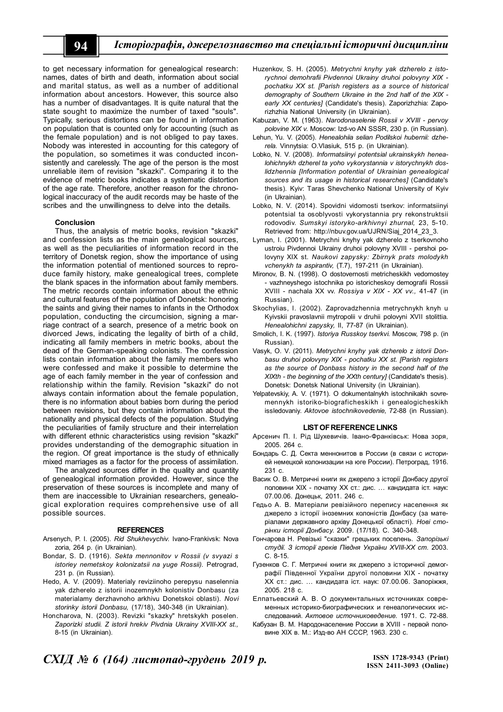to get necessary information for genealogical research: names, dates of birth and death, information about social and marital status, as well as a number of additional information about ancestors. However, this source also has a number of disadvantages. It is quite natural that the state sought to maximize the number of taxed "souls". Typically, serious distortions can be found in information on population that is counted only for accounting (such as the female population) and is not obliged to pay taxes. Nobody was interested in accounting for this category of the population, so sometimes it was conducted inconsistently and carelessly. The age of the person is the most unreliable item of revision "skazki". Comparing it to the evidence of metric books indicates a systematic distortion of the age rate. Therefore, another reason for the chronological inaccuracy of the audit records may be haste of the scribes and the unwillingness to delve into the details.

#### **Conclusion**

Thus, the analysis of metric books, revision "skazki" and confession lists as the main genealogical sources, as well as the peculiarities of information record in the territory of Donetsk region, show the importance of using the information potential of mentioned sources to reproduce family history, make genealogical trees, complete the blank spaces in the information about family members. The metric records contain information about the ethnic and cultural features of the population of Donetsk: honoring the saints and giving their names to infants in the Orthodox population, conducting the circumcision, signing a marriage contract of a search, presence of a metric book on divorced Jews, indicating the legality of birth of a child, indicating all family members in metric books, about the dead of the German-speaking colonists. The confession lists contain information about the family members who were confessed and make it possible to determine the age of each family member in the year of confession and relationship within the family. Revision "skazki" do not always contain information about the female population, there is no information about babies born during the period between revisions, but they contain information about the nationality and physical defects of the population. Studying the peculiarities of family structure and their interrelation with different ethnic characteristics using revision "skazki" provides understanding of the demographic situation in the region. Of great importance is the study of ethnically mixed marriages as a factor for the process of assimilation.

The analyzed sources differ in the quality and quantity of genealogical information provided. However, since the preservation of these sources is incomplete and many of them are inaccessible to Ukrainian researchers, genealogical exploration requires comprehensive use of all possible sources.

#### **REFERENCES**

- Arsenych, P. I. (2005). *Rid Shukhevychiv.* Ivano-Frankivsk: Nova zoria, 264 р. (in Ukrainian).
- Bondar, S. D. (1916). *Sekta mennonitov v Rossii (v svyazi s istoriey nemetskoy kolonizatsii na yuge Rossii).* Petrograd, 231 р. (in Russian).
- Hedo, A. V. (2009). Materialy reviziinoho perepysu naselennia yak dzherelo z istorii inozemnykh kolonistiv Donbasu (za materialamy derzhavnoho arkhivu Donetskoi oblasti). *Novi storinky istorii Donbasu,* (17/18), 340-348 (in Ukrainian).
- Honcharova, N. (2003). Revizki "skazky" hretskykh poselen. *Zaporizki studii. Z istorii hrekiv Pivdnia Ukrainy XVIII-XX st.,* 8-15 (in Ukrainian).
- Huzenkov, S. H. (2005). *Metrychni knyhy yak dzherelo z istorychnoi demohrafii Pivdennoi Ukrainy druhoi polovyny XIX pochatku XX st. [Parish registers as a source of historical demography of Southern Ukraine in the 2nd half of the XIX early XX centuries]* (Сandidate's thesis). Zaporizhzhia: Zaporizhzhia National University (in Ukrainian).
- Kabuzan, V. M. (1963). *Narodonaselenie Rossii v XVIII pervoy polovine XIX v.* Moscow: Izd-vo AN SSSR, 230 р. (in Russian).
- Lehun, Yu. V. (2005). *Henealohiia selian Podilskoi hubernii: dzherela.* Vinnytsia: O.Vlasiuk, 515 р. (in Ukrainian).
- Lobko, N. V. (2008). *Informatsiinyi potentsial ukrainskykh henealohichnykh dzherel ta yoho vykorystannia v istorychnykh doslidzhennia [Information potential of Ukrainian genealogical sources and its usage in historical researches]* (Сandidate's thesis). Kyiv: Тaras Shevchenko National University of Kyiv (in Ukrainian).
- Lobko, N. V. (2014). Spovidni vidomosti tserkov: informatsiinyi potentsial ta osoblyvosti vykorystannia pry rekonstruktsii rodovodiv. *Sumskyi istoryko-arkhivnyi zhurnal,* 23, 5-10. Retrieved from: http://nbuv.gov.ua/UJRN/Siaj\_2014\_23\_3.
- Lyman, I. (2001). Metrychni knyhy yak dzherelo z tserkovnoho ustroiu Pivdennoi Ukrainy druhoi polovyny XVIII - pershoi polovyny ХIХ st. *Naukovi zapysky: Zbirnyk prats molodykh vchenykh ta aspirantiv,* (T.7), 197-211 (in Ukrainian).
- Mironov, B. N. (1998). O dostovernosti metricheskikh vedomostey - vazhneyshego istochnika po istoricheskoy demografii Rossii XVIII - nachala XX vv. *Rossiya v XIX - XX vv.,* 41-47 (in Russian).
- Skochylias, I. (2002). Zaprovadzhennia metrychnykh knyh u Kyivskii pravoslavnii mytropolii v druhii polovyni XVII stolittia. *Henealohichni zapysky,* II, 77-87 (in Ukrainian).
- Smolich, I. K. (1997). *Istoriya Russkoy tserkvi.* Мoscow, 798 р. (in Russian).
- Vasyk, O. V. (2011). *Metrychni knyhy yak dzherelo z istorii Donbasu druhoi polovyny XIX - pochatku XX st. [Parish registers as the source of Donbass history in the second half of the XIXth - the beginning of the XXth century]* (Сandidate's thesis). Donetsk: Donetsk National University (in Ukrainian).
- Yelpatevskiy, A. V. (1971). O dokumentalnykh istochnikakh sovremennykh istoriko-biograficheskikh i genealogicheskikh issledovaniy. *Aktovoe istochnikovedenie,* 72-88 (in Russian).

#### **LIST OF REFERENCE LINKS**

- Арсенич П. І. Рід Шухевичів. Івано-Франківськ: Нова зоря, 2005. 264 с.
- Бондарь С. Д. Секта меннонитов в России (в связи с историей немецкой колонизации на юге России). Петроград, 1916. 231 с.
- Васик О. В. Метричні книги як джерело з історії Донбасу другої половини ХІХ - початку ХХ ст.: дис. … кандидата іст. наук: 07.00.06. Донецьк, 2011. 246 с.
- Гедьо А. В. Матеріали ревізійного перепису населення як джерело з історії іноземних колоністів Донбасу (за матеріалами державного архіву Донецької області). *Нові сторінки історії Донбасу.* 2009. (17/18). С. 340-348.
- Гончарова Н. Ревізькі "сказки" грецьких поселень. *Запорізькі студії. З історії греків Півдня України XVIII-XX ст.* 2003. С. 8-15.
- Гузенков С. Г. Метричні книги як джерело з історичної демографії Південної України другої половини ХІХ - початку ХХ ст.: дис. … кандидата іст. наук: 07.00.06. Запоріжжя, 2005. 218 с.
- Елпатьевский А. В. О документальных источниках современных историко-биографических и генеалогических исследований. *Актовое источниковедение.* 1971. С. 72-88.
- Кабузан В. М. Народонаселение России в XVIII первой половине XIX в. М.: Изд-во АН СССР, 1963. 230 с.